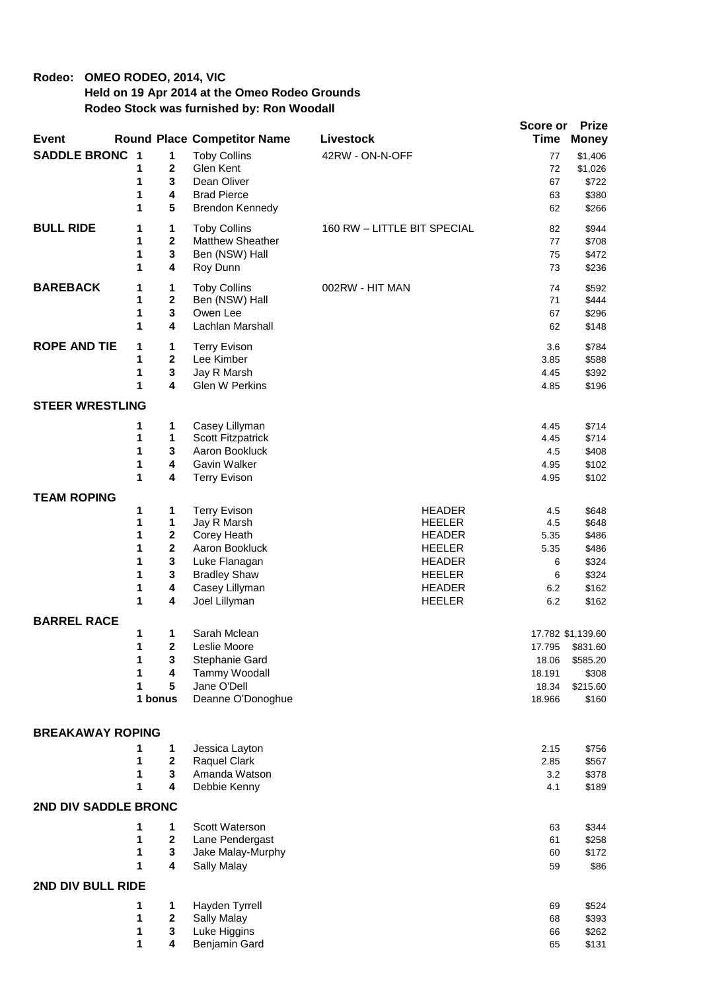## **Rodeo: OMEO RODEO, 2014, VIC Held on 19 Apr 2014 at the Omeo Rodeo Grounds Rodeo Stock was furnished by: Ron Woodall**

|                         |        |                             |                                    |                                | Score or     | <b>Prize</b>      |
|-------------------------|--------|-----------------------------|------------------------------------|--------------------------------|--------------|-------------------|
| <b>Event</b>            |        |                             | <b>Round Place Competitor Name</b> | Livestock                      | <b>Time</b>  | <b>Money</b>      |
| <b>SADDLE BRONC 1</b>   |        | 1                           | <b>Toby Collins</b>                | 42RW - ON-N-OFF                | 77           | \$1,406           |
|                         | 1      | 2                           | Glen Kent                          |                                | 72           | \$1,026           |
|                         | 1      | 3                           | Dean Oliver                        |                                | 67           | \$722             |
|                         | 1      | 4                           | <b>Brad Pierce</b>                 |                                | 63           | \$380             |
|                         | 1      | 5                           | Brendon Kennedy                    |                                | 62           | \$266             |
| <b>BULL RIDE</b>        | 1      | 1                           | <b>Toby Collins</b>                | 160 RW - LITTLE BIT SPECIAL    | 82           | \$944             |
|                         | 1      | $\overline{\mathbf{2}}$     | <b>Matthew Sheather</b>            |                                | 77           | \$708             |
|                         | 1      | 3                           | Ben (NSW) Hall                     |                                | 75           | \$472             |
|                         | 1      | 4                           | Roy Dunn                           |                                | 73           | \$236             |
| <b>BAREBACK</b>         | 1      | 1                           | <b>Toby Collins</b>                | 002RW - HIT MAN                | 74           | \$592             |
|                         | 1      | 2                           | Ben (NSW) Hall                     |                                | 71           | \$444             |
|                         | 1      | 3                           | Owen Lee                           |                                | 67           | \$296             |
|                         | 1      | 4                           | Lachlan Marshall                   |                                | 62           | \$148             |
| <b>ROPE AND TIE</b>     | 1      | 1                           | <b>Terry Evison</b>                |                                | 3.6          | \$784             |
|                         | 1      | $\mathbf{2}$                | Lee Kimber                         |                                | 3.85         | \$588             |
|                         | 1      | 3                           | Jay R Marsh                        |                                | 4.45         | \$392             |
|                         | 1      | 4                           | <b>Glen W Perkins</b>              |                                | 4.85         | \$196             |
| <b>STEER WRESTLING</b>  |        |                             |                                    |                                |              |                   |
|                         | 1      | 1                           | Casey Lillyman                     |                                | 4.45         | \$714             |
|                         | 1      | 1                           | Scott Fitzpatrick                  |                                | 4.45         | \$714             |
|                         | 1      | 3                           | Aaron Bookluck                     |                                | 4.5          | \$408             |
|                         | 1      | 4                           | Gavin Walker                       |                                | 4.95         | \$102             |
|                         | 1      | 4                           | <b>Terry Evison</b>                |                                | 4.95         | \$102             |
| <b>TEAM ROPING</b>      |        |                             |                                    |                                |              |                   |
|                         | 1      | 1                           | <b>Terry Evison</b>                | <b>HEADER</b>                  | 4.5          | \$648             |
|                         | 1      | 1                           | Jay R Marsh                        | <b>HEELER</b>                  | 4.5          | \$648             |
|                         | 1<br>1 | $\mathbf 2$<br>$\mathbf{2}$ | Corey Heath<br>Aaron Bookluck      | <b>HEADER</b><br><b>HEELER</b> | 5.35         | \$486             |
|                         | 1      | $\mathbf{3}$                | Luke Flanagan                      | <b>HEADER</b>                  | 5.35<br>6    | \$486<br>\$324    |
|                         | 1      | $\mathbf{3}$                | <b>Bradley Shaw</b>                | <b>HEELER</b>                  | 6            | \$324             |
|                         | 1      | 4                           | Casey Lillyman                     | <b>HEADER</b>                  | 6.2          | \$162             |
|                         | 1      | 4                           | Joel Lillyman                      | <b>HEELER</b>                  | 6.2          | \$162             |
| <b>BARREL RACE</b>      |        |                             |                                    |                                |              |                   |
|                         | 1      | 1                           | Sarah Mclean                       |                                |              | 17.782 \$1,139.60 |
|                         | 1      | 2                           | Leslie Moore                       |                                | 17.795       | \$831.60          |
|                         | 1      | 3                           | Stephanie Gard                     |                                | 18.06        | \$585.20          |
|                         | 1      | 4                           | Tammy Woodall                      |                                | 18.191       | \$308             |
|                         | 1      | 5                           | Jane O'Dell                        |                                | 18.34        | \$215.60          |
|                         |        | 1 bonus                     | Deanne O'Donoghue                  |                                | 18.966       | \$160             |
|                         |        |                             |                                    |                                |              |                   |
| <b>BREAKAWAY ROPING</b> |        |                             |                                    |                                |              |                   |
|                         | 1<br>1 | 1<br>$\mathbf 2$            | Jessica Layton<br>Raquel Clark     |                                | 2.15<br>2.85 | \$756<br>\$567    |
|                         | 1      | 3                           | Amanda Watson                      |                                | 3.2          | \$378             |
|                         | 1      | 4                           | Debbie Kenny                       |                                | 4.1          | \$189             |
| 2ND DIV SADDLE BRONC    |        |                             |                                    |                                |              |                   |
|                         | 1      | 1                           | Scott Waterson                     |                                | 63           | \$344             |
|                         | 1      | $\mathbf{2}$                | Lane Pendergast                    |                                | 61           | \$258             |
|                         | 1      | 3                           | Jake Malay-Murphy                  |                                | 60           | \$172             |
|                         | 1      | 4                           | Sally Malay                        |                                | 59           | \$86              |
| 2ND DIV BULL RIDE       |        |                             |                                    |                                |              |                   |
|                         | 1      | 1                           | Hayden Tyrrell                     |                                | 69           | \$524             |
|                         | 1      | $\boldsymbol{2}$            | <b>Sally Malay</b>                 |                                | 68           | \$393             |
|                         | 1      | 3                           | Luke Higgins                       |                                | 66           | \$262             |
|                         | 1      | 4                           | Benjamin Gard                      |                                | 65           | \$131             |